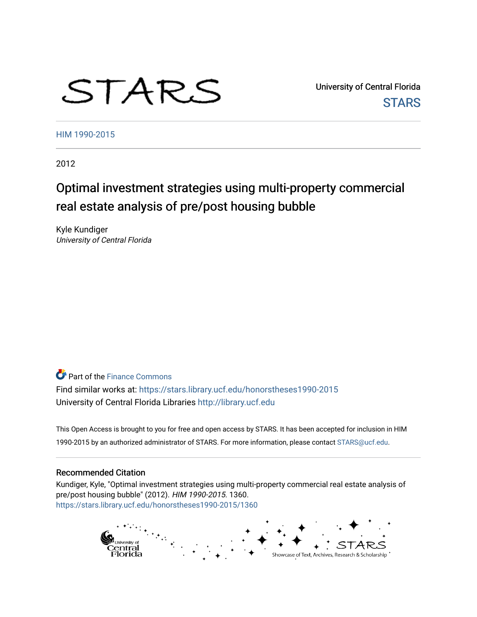# STARS

University of Central Florida **STARS** 

[HIM 1990-2015](https://stars.library.ucf.edu/honorstheses1990-2015) 

2012

# Optimal investment strategies using multi-property commercial real estate analysis of pre/post housing bubble

Kyle Kundiger University of Central Florida

**Part of the Finance Commons** 

Find similar works at: <https://stars.library.ucf.edu/honorstheses1990-2015> University of Central Florida Libraries [http://library.ucf.edu](http://library.ucf.edu/) 

This Open Access is brought to you for free and open access by STARS. It has been accepted for inclusion in HIM 1990-2015 by an authorized administrator of STARS. For more information, please contact [STARS@ucf.edu](mailto:STARS@ucf.edu).

### Recommended Citation

Kundiger, Kyle, "Optimal investment strategies using multi-property commercial real estate analysis of pre/post housing bubble" (2012). HIM 1990-2015. 1360. [https://stars.library.ucf.edu/honorstheses1990-2015/1360](https://stars.library.ucf.edu/honorstheses1990-2015/1360?utm_source=stars.library.ucf.edu%2Fhonorstheses1990-2015%2F1360&utm_medium=PDF&utm_campaign=PDFCoverPages) 

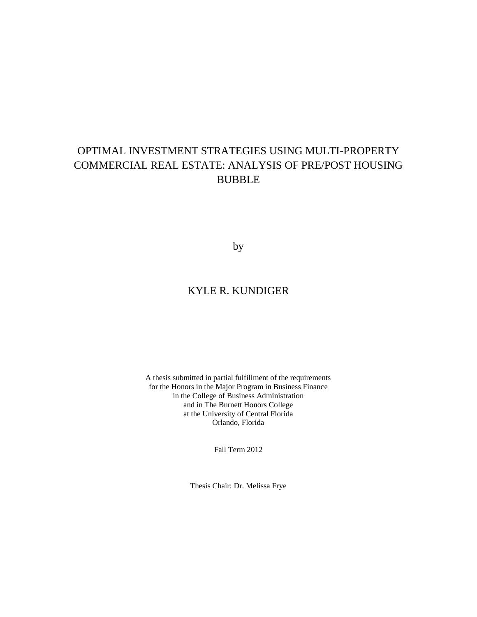# OPTIMAL INVESTMENT STRATEGIES USING MULTI-PROPERTY COMMERCIAL REAL ESTATE: ANALYSIS OF PRE/POST HOUSING BUBBLE

by

# KYLE R. KUNDIGER

A thesis submitted in partial fulfillment of the requirements for the Honors in the Major Program in Business Finance in the College of Business Administration and in The Burnett Honors College at the University of Central Florida Orlando, Florida

Fall Term 2012

Thesis Chair: Dr. Melissa Frye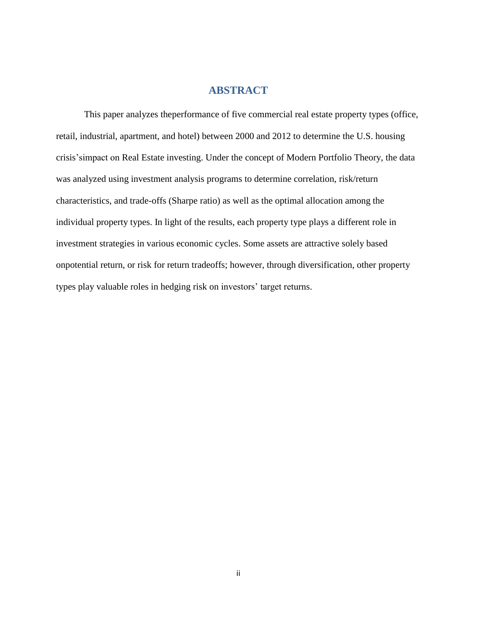# **ABSTRACT**

This paper analyzes theperformance of five commercial real estate property types (office, retail, industrial, apartment, and hotel) between 2000 and 2012 to determine the U.S. housing crisis'simpact on Real Estate investing. Under the concept of Modern Portfolio Theory, the data was analyzed using investment analysis programs to determine correlation, risk/return characteristics, and trade-offs (Sharpe ratio) as well as the optimal allocation among the individual property types. In light of the results, each property type plays a different role in investment strategies in various economic cycles. Some assets are attractive solely based onpotential return, or risk for return tradeoffs; however, through diversification, other property types play valuable roles in hedging risk on investors' target returns.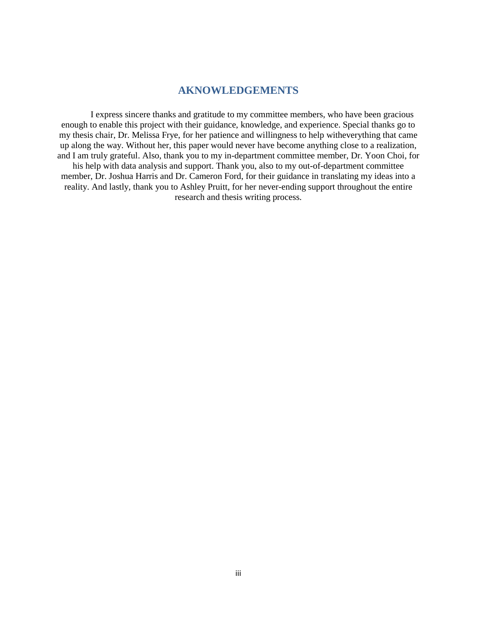# **AKNOWLEDGEMENTS**

I express sincere thanks and gratitude to my committee members, who have been gracious enough to enable this project with their guidance, knowledge, and experience. Special thanks go to my thesis chair, Dr. Melissa Frye, for her patience and willingness to help witheverything that came up along the way. Without her, this paper would never have become anything close to a realization, and I am truly grateful. Also, thank you to my in-department committee member, Dr. Yoon Choi, for his help with data analysis and support. Thank you, also to my out-of-department committee member, Dr. Joshua Harris and Dr. Cameron Ford, for their guidance in translating my ideas into a reality. And lastly, thank you to Ashley Pruitt, for her never-ending support throughout the entire research and thesis writing process.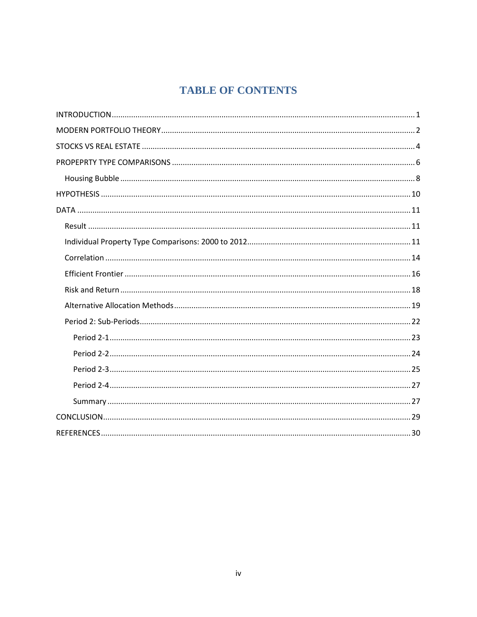# **TABLE OF CONTENTS**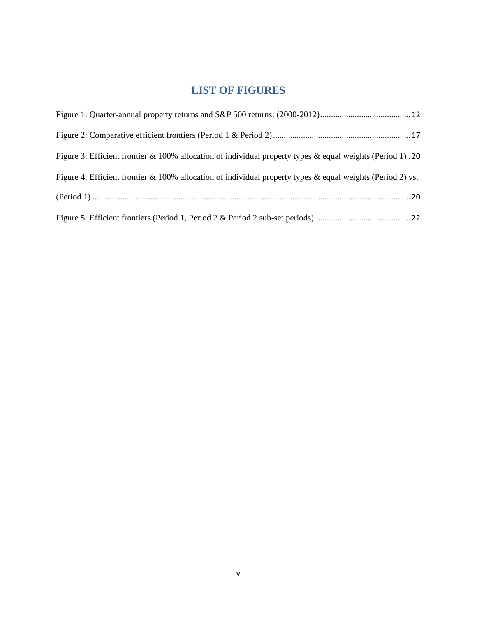# **LIST OF FIGURES**

| Figure 3: Efficient frontier $\&$ 100% allocation of individual property types $\&$ equal weights (Period 1).20  |
|------------------------------------------------------------------------------------------------------------------|
| Figure 4: Efficient frontier $\&$ 100% allocation of individual property types $\&$ equal weights (Period 2) vs. |
|                                                                                                                  |
|                                                                                                                  |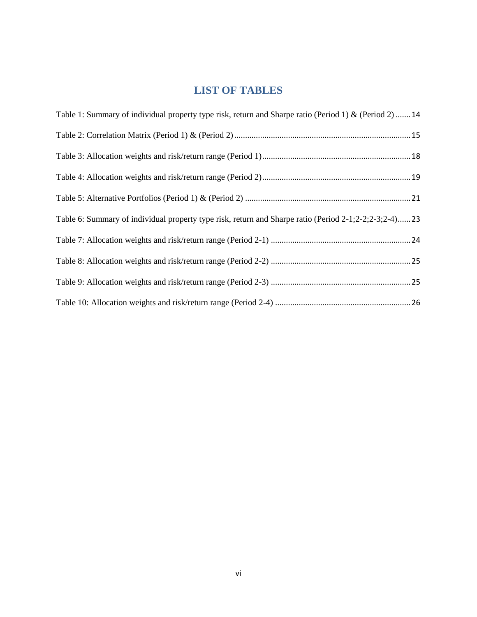# **LIST OF TABLES**

| Table 1: Summary of individual property type risk, return and Sharpe ratio (Period 1) & (Period 2)  14 |
|--------------------------------------------------------------------------------------------------------|
|                                                                                                        |
|                                                                                                        |
|                                                                                                        |
|                                                                                                        |
| Table 6: Summary of individual property type risk, return and Sharpe ratio (Period 2-1;2-2;2-3;2-4)23  |
|                                                                                                        |
|                                                                                                        |
|                                                                                                        |
|                                                                                                        |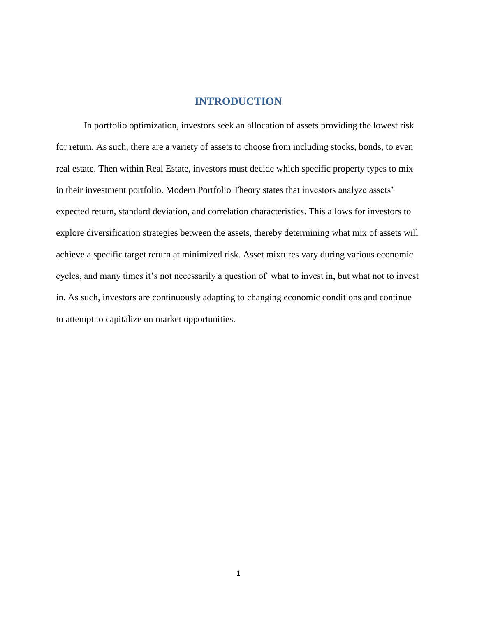# **INTRODUCTION**

In portfolio optimization, investors seek an allocation of assets providing the lowest risk for return. As such, there are a variety of assets to choose from including stocks, bonds, to even real estate. Then within Real Estate, investors must decide which specific property types to mix in their investment portfolio. Modern Portfolio Theory states that investors analyze assets' expected return, standard deviation, and correlation characteristics. This allows for investors to explore diversification strategies between the assets, thereby determining what mix of assets will achieve a specific target return at minimized risk. Asset mixtures vary during various economic cycles, and many times it's not necessarily a question of what to invest in, but what not to invest in. As such, investors are continuously adapting to changing economic conditions and continue to attempt to capitalize on market opportunities.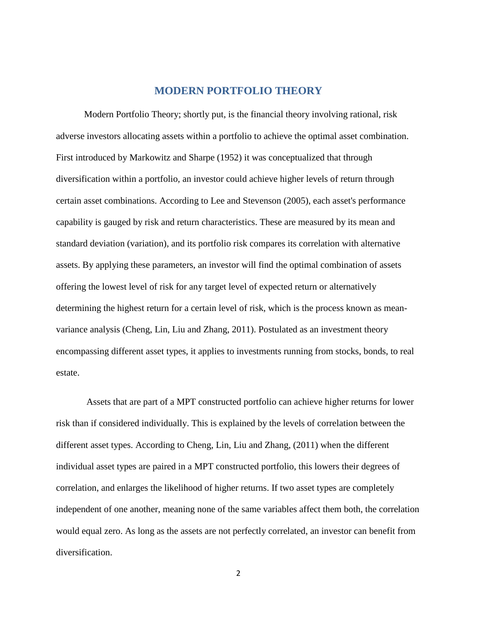# **MODERN PORTFOLIO THEORY**

 Modern Portfolio Theory; shortly put, is the financial theory involving rational, risk adverse investors allocating assets within a portfolio to achieve the optimal asset combination. First introduced by Markowitz and Sharpe (1952) it was conceptualized that through diversification within a portfolio, an investor could achieve higher levels of return through certain asset combinations. According to Lee and Stevenson (2005), each asset's performance capability is gauged by risk and return characteristics. These are measured by its mean and standard deviation (variation), and its portfolio risk compares its correlation with alternative assets. By applying these parameters, an investor will find the optimal combination of assets offering the lowest level of risk for any target level of expected return or alternatively determining the highest return for a certain level of risk, which is the process known as meanvariance analysis (Cheng, Lin, Liu and Zhang, 2011). Postulated as an investment theory encompassing different asset types, it applies to investments running from stocks, bonds, to real estate.

 Assets that are part of a MPT constructed portfolio can achieve higher returns for lower risk than if considered individually. This is explained by the levels of correlation between the different asset types. According to Cheng, Lin, Liu and Zhang, (2011) when the different individual asset types are paired in a MPT constructed portfolio, this lowers their degrees of correlation, and enlarges the likelihood of higher returns. If two asset types are completely independent of one another, meaning none of the same variables affect them both, the correlation would equal zero. As long as the assets are not perfectly correlated, an investor can benefit from diversification.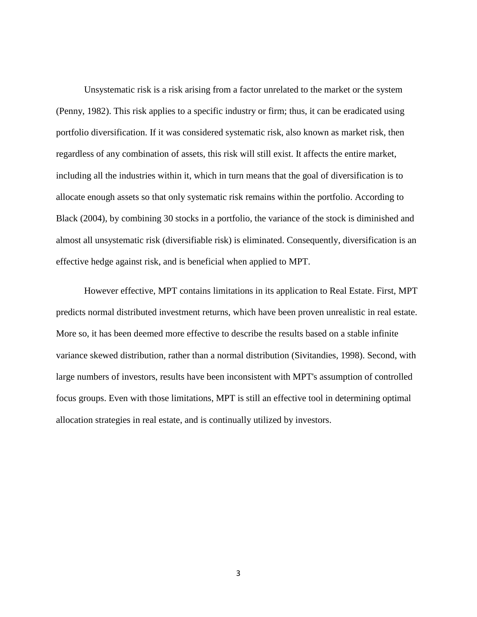Unsystematic risk is a risk arising from a factor unrelated to the market or the system (Penny, 1982). This risk applies to a specific industry or firm; thus, it can be eradicated using portfolio diversification. If it was considered systematic risk, also known as market risk, then regardless of any combination of assets, this risk will still exist. It affects the entire market, including all the industries within it, which in turn means that the goal of diversification is to allocate enough assets so that only systematic risk remains within the portfolio. According to Black (2004), by combining 30 stocks in a portfolio, the variance of the stock is diminished and almost all unsystematic risk (diversifiable risk) is eliminated. Consequently, diversification is an effective hedge against risk, and is beneficial when applied to MPT.

 However effective, MPT contains limitations in its application to Real Estate. First, MPT predicts normal distributed investment returns, which have been proven unrealistic in real estate. More so, it has been deemed more effective to describe the results based on a stable infinite variance skewed distribution, rather than a normal distribution (Sivitandies, 1998). Second, with large numbers of investors, results have been inconsistent with MPT's assumption of controlled focus groups. Even with those limitations, MPT is still an effective tool in determining optimal allocation strategies in real estate, and is continually utilized by investors.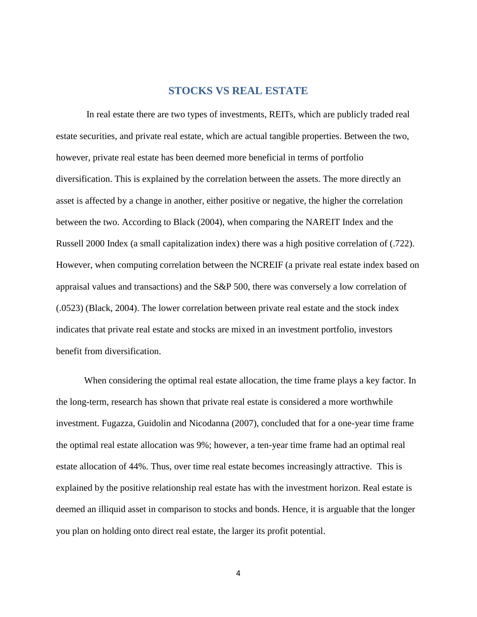## **STOCKS VS REAL ESTATE**

 In real estate there are two types of investments, REITs, which are publicly traded real estate securities, and private real estate, which are actual tangible properties. Between the two, however, private real estate has been deemed more beneficial in terms of portfolio diversification. This is explained by the correlation between the assets. The more directly an asset is affected by a change in another, either positive or negative, the higher the correlation between the two. According to Black (2004), when comparing the NAREIT Index and the Russell 2000 Index (a small capitalization index) there was a high positive correlation of (.722). However, when computing correlation between the NCREIF (a private real estate index based on appraisal values and transactions) and the S&P 500, there was conversely a low correlation of (.0523) (Black, 2004). The lower correlation between private real estate and the stock index indicates that private real estate and stocks are mixed in an investment portfolio, investors benefit from diversification.

 When considering the optimal real estate allocation, the time frame plays a key factor. In the long-term, research has shown that private real estate is considered a more worthwhile investment. Fugazza, Guidolin and Nicodanna (2007), concluded that for a one-year time frame the optimal real estate allocation was 9%; however, a ten-year time frame had an optimal real estate allocation of 44%. Thus, over time real estate becomes increasingly attractive. This is explained by the positive relationship real estate has with the investment horizon. Real estate is deemed an illiquid asset in comparison to stocks and bonds. Hence, it is arguable that the longer you plan on holding onto direct real estate, the larger its profit potential.

4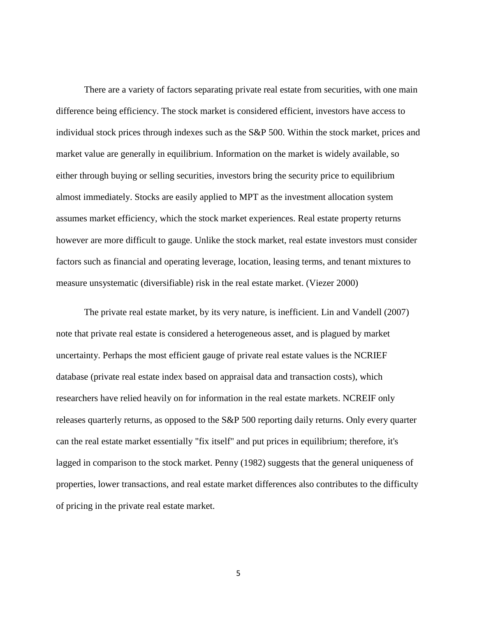There are a variety of factors separating private real estate from securities, with one main difference being efficiency. The stock market is considered efficient, investors have access to individual stock prices through indexes such as the S&P 500. Within the stock market, prices and market value are generally in equilibrium. Information on the market is widely available, so either through buying or selling securities, investors bring the security price to equilibrium almost immediately. Stocks are easily applied to MPT as the investment allocation system assumes market efficiency, which the stock market experiences. Real estate property returns however are more difficult to gauge. Unlike the stock market, real estate investors must consider factors such as financial and operating leverage, location, leasing terms, and tenant mixtures to measure unsystematic (diversifiable) risk in the real estate market. (Viezer 2000)

 The private real estate market, by its very nature, is inefficient. Lin and Vandell (2007) note that private real estate is considered a heterogeneous asset, and is plagued by market uncertainty. Perhaps the most efficient gauge of private real estate values is the NCRIEF database (private real estate index based on appraisal data and transaction costs), which researchers have relied heavily on for information in the real estate markets. NCREIF only releases quarterly returns, as opposed to the S&P 500 reporting daily returns. Only every quarter can the real estate market essentially "fix itself" and put prices in equilibrium; therefore, it's lagged in comparison to the stock market. Penny (1982) suggests that the general uniqueness of properties, lower transactions, and real estate market differences also contributes to the difficulty of pricing in the private real estate market.

5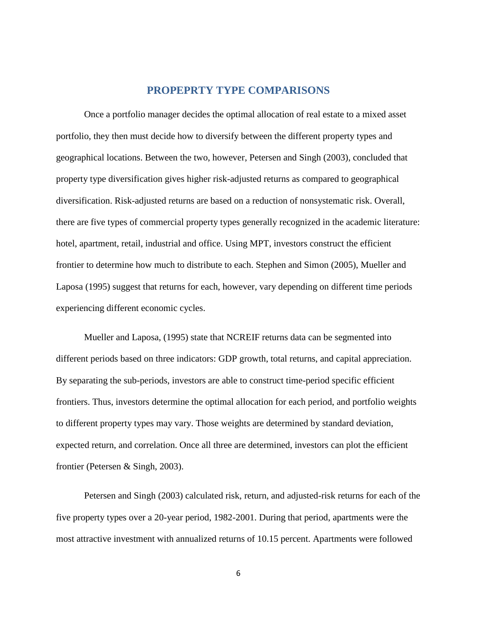# **PROPEPRTY TYPE COMPARISONS**

 Once a portfolio manager decides the optimal allocation of real estate to a mixed asset portfolio, they then must decide how to diversify between the different property types and geographical locations. Between the two, however, Petersen and Singh (2003), concluded that property type diversification gives higher risk-adjusted returns as compared to geographical diversification. Risk-adjusted returns are based on a reduction of nonsystematic risk. Overall, there are five types of commercial property types generally recognized in the academic literature: hotel, apartment, retail, industrial and office. Using MPT, investors construct the efficient frontier to determine how much to distribute to each. Stephen and Simon (2005), Mueller and Laposa (1995) suggest that returns for each, however, vary depending on different time periods experiencing different economic cycles.

 Mueller and Laposa, (1995) state that NCREIF returns data can be segmented into different periods based on three indicators: GDP growth, total returns, and capital appreciation. By separating the sub-periods, investors are able to construct time-period specific efficient frontiers. Thus, investors determine the optimal allocation for each period, and portfolio weights to different property types may vary. Those weights are determined by standard deviation, expected return, and correlation. Once all three are determined, investors can plot the efficient frontier (Petersen & Singh, 2003).

 Petersen and Singh (2003) calculated risk, return, and adjusted-risk returns for each of the five property types over a 20-year period, 1982-2001. During that period, apartments were the most attractive investment with annualized returns of 10.15 percent. Apartments were followed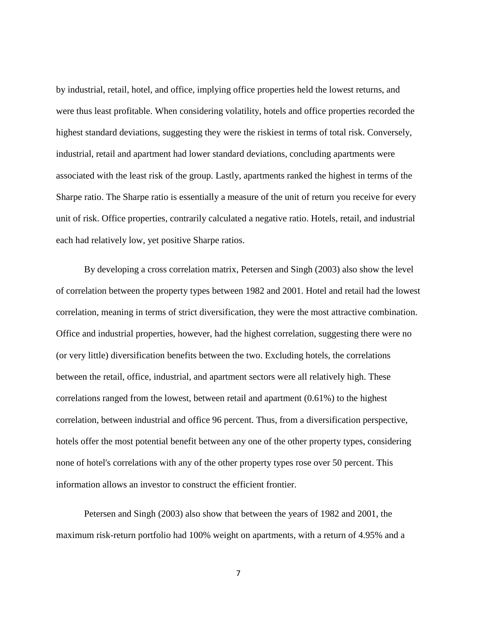by industrial, retail, hotel, and office, implying office properties held the lowest returns, and were thus least profitable. When considering volatility, hotels and office properties recorded the highest standard deviations, suggesting they were the riskiest in terms of total risk. Conversely, industrial, retail and apartment had lower standard deviations, concluding apartments were associated with the least risk of the group. Lastly, apartments ranked the highest in terms of the Sharpe ratio. The Sharpe ratio is essentially a measure of the unit of return you receive for every unit of risk. Office properties, contrarily calculated a negative ratio. Hotels, retail, and industrial each had relatively low, yet positive Sharpe ratios.

 By developing a cross correlation matrix, Petersen and Singh (2003) also show the level of correlation between the property types between 1982 and 2001. Hotel and retail had the lowest correlation, meaning in terms of strict diversification, they were the most attractive combination. Office and industrial properties, however, had the highest correlation, suggesting there were no (or very little) diversification benefits between the two. Excluding hotels, the correlations between the retail, office, industrial, and apartment sectors were all relatively high. These correlations ranged from the lowest, between retail and apartment (0.61%) to the highest correlation, between industrial and office 96 percent. Thus, from a diversification perspective, hotels offer the most potential benefit between any one of the other property types, considering none of hotel's correlations with any of the other property types rose over 50 percent. This information allows an investor to construct the efficient frontier.

 Petersen and Singh (2003) also show that between the years of 1982 and 2001, the maximum risk-return portfolio had 100% weight on apartments, with a return of 4.95% and a

7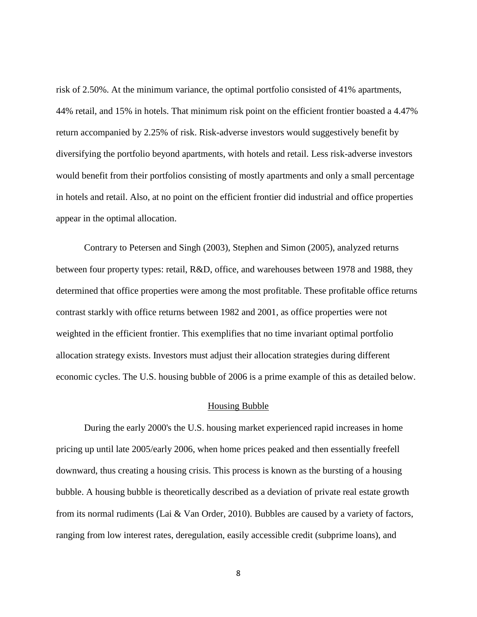risk of 2.50%. At the minimum variance, the optimal portfolio consisted of 41% apartments, 44% retail, and 15% in hotels. That minimum risk point on the efficient frontier boasted a 4.47% return accompanied by 2.25% of risk. Risk-adverse investors would suggestively benefit by diversifying the portfolio beyond apartments, with hotels and retail. Less risk-adverse investors would benefit from their portfolios consisting of mostly apartments and only a small percentage in hotels and retail. Also, at no point on the efficient frontier did industrial and office properties appear in the optimal allocation.

 Contrary to Petersen and Singh (2003), Stephen and Simon (2005), analyzed returns between four property types: retail, R&D, office, and warehouses between 1978 and 1988, they determined that office properties were among the most profitable. These profitable office returns contrast starkly with office returns between 1982 and 2001, as office properties were not weighted in the efficient frontier. This exemplifies that no time invariant optimal portfolio allocation strategy exists. Investors must adjust their allocation strategies during different economic cycles. The U.S. housing bubble of 2006 is a prime example of this as detailed below.

#### Housing Bubble

 During the early 2000's the U.S. housing market experienced rapid increases in home pricing up until late 2005/early 2006, when home prices peaked and then essentially freefell downward, thus creating a housing crisis. This process is known as the bursting of a housing bubble. A housing bubble is theoretically described as a deviation of private real estate growth from its normal rudiments (Lai & Van Order, 2010). Bubbles are caused by a variety of factors, ranging from low interest rates, deregulation, easily accessible credit (subprime loans), and

8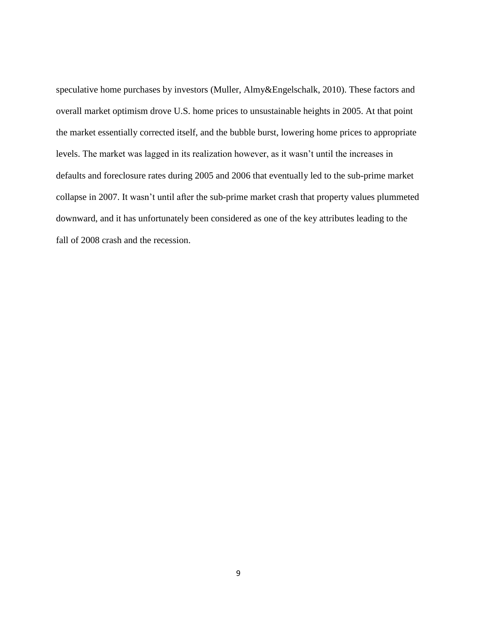speculative home purchases by investors (Muller, Almy&Engelschalk, 2010). These factors and overall market optimism drove U.S. home prices to unsustainable heights in 2005. At that point the market essentially corrected itself, and the bubble burst, lowering home prices to appropriate levels. The market was lagged in its realization however, as it wasn't until the increases in defaults and foreclosure rates during 2005 and 2006 that eventually led to the sub-prime market collapse in 2007. It wasn't until after the sub-prime market crash that property values plummeted downward, and it has unfortunately been considered as one of the key attributes leading to the fall of 2008 crash and the recession.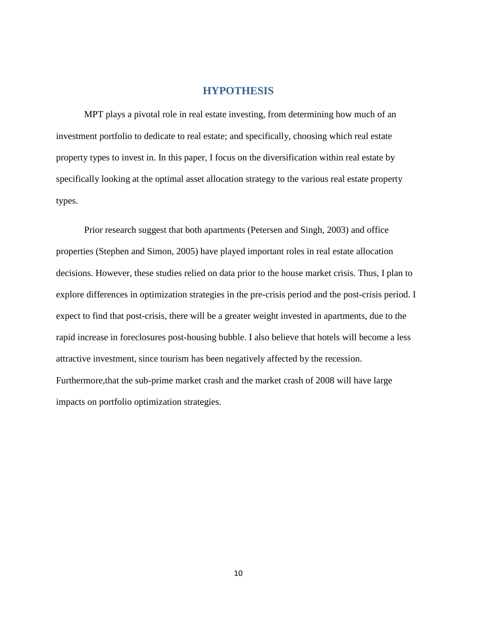#### **HYPOTHESIS**

MPT plays a pivotal role in real estate investing, from determining how much of an investment portfolio to dedicate to real estate; and specifically, choosing which real estate property types to invest in. In this paper, I focus on the diversification within real estate by specifically looking at the optimal asset allocation strategy to the various real estate property types.

Prior research suggest that both apartments (Petersen and Singh, 2003) and office properties (Stephen and Simon, 2005) have played important roles in real estate allocation decisions. However, these studies relied on data prior to the house market crisis. Thus, I plan to explore differences in optimization strategies in the pre-crisis period and the post-crisis period. I expect to find that post-crisis, there will be a greater weight invested in apartments, due to the rapid increase in foreclosures post-housing bubble. I also believe that hotels will become a less attractive investment, since tourism has been negatively affected by the recession. Furthermore,that the sub-prime market crash and the market crash of 2008 will have large impacts on portfolio optimization strategies.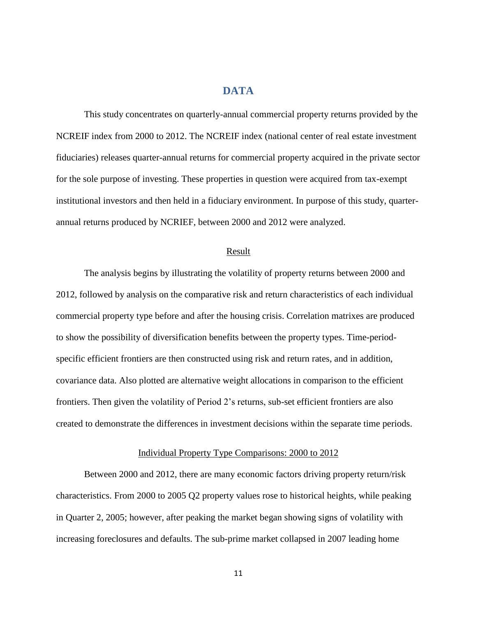# **DATA**

This study concentrates on quarterly-annual commercial property returns provided by the NCREIF index from 2000 to 2012. The NCREIF index (national center of real estate investment fiduciaries) releases quarter-annual returns for commercial property acquired in the private sector for the sole purpose of investing. These properties in question were acquired from tax-exempt institutional investors and then held in a fiduciary environment. In purpose of this study, quarterannual returns produced by NCRIEF, between 2000 and 2012 were analyzed.

#### Result

 The analysis begins by illustrating the volatility of property returns between 2000 and 2012, followed by analysis on the comparative risk and return characteristics of each individual commercial property type before and after the housing crisis. Correlation matrixes are produced to show the possibility of diversification benefits between the property types. Time-periodspecific efficient frontiers are then constructed using risk and return rates, and in addition, covariance data. Also plotted are alternative weight allocations in comparison to the efficient frontiers. Then given the volatility of Period 2's returns, sub-set efficient frontiers are also created to demonstrate the differences in investment decisions within the separate time periods.

#### Individual Property Type Comparisons: 2000 to 2012

 Between 2000 and 2012, there are many economic factors driving property return/risk characteristics. From 2000 to 2005 Q2 property values rose to historical heights, while peaking in Quarter 2, 2005; however, after peaking the market began showing signs of volatility with increasing foreclosures and defaults. The sub-prime market collapsed in 2007 leading home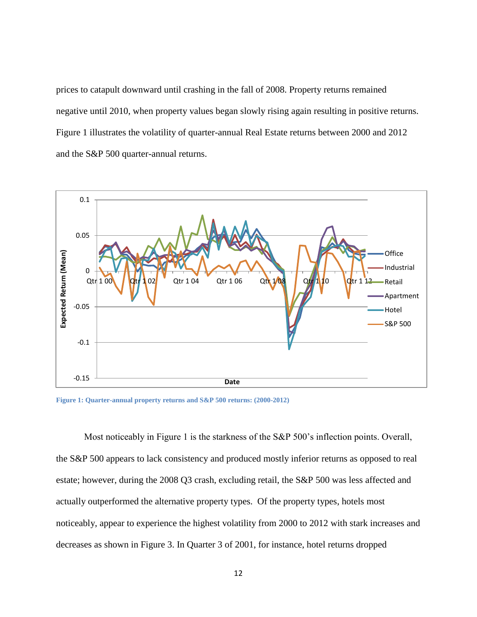prices to catapult downward until crashing in the fall of 2008. Property returns remained negative until 2010, when property values began slowly rising again resulting in positive returns. Figure 1 illustrates the volatility of quarter-annual Real Estate returns between 2000 and 2012 and the S&P 500 quarter-annual returns.



**Figure 1: Quarter-annual property returns and S&P 500 returns: (2000-2012)**

Most noticeably in Figure 1 is the starkness of the S&P 500's inflection points. Overall, the S&P 500 appears to lack consistency and produced mostly inferior returns as opposed to real estate; however, during the 2008 Q3 crash, excluding retail, the S&P 500 was less affected and actually outperformed the alternative property types. Of the property types, hotels most noticeably, appear to experience the highest volatility from 2000 to 2012 with stark increases and decreases as shown in Figure 3. In Quarter 3 of 2001, for instance, hotel returns dropped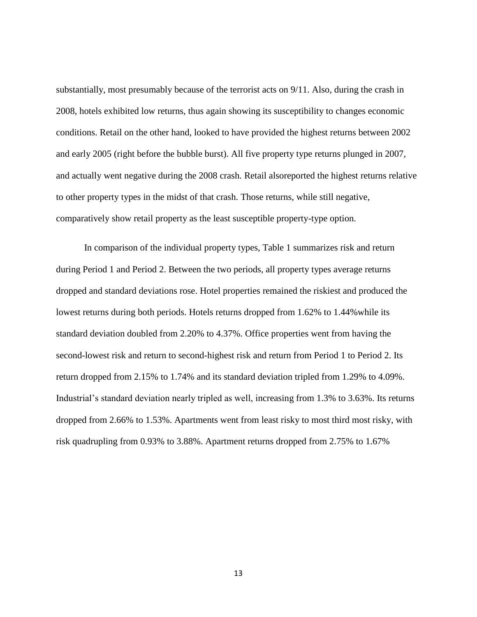substantially, most presumably because of the terrorist acts on 9/11. Also, during the crash in 2008, hotels exhibited low returns, thus again showing its susceptibility to changes economic conditions. Retail on the other hand, looked to have provided the highest returns between 2002 and early 2005 (right before the bubble burst). All five property type returns plunged in 2007, and actually went negative during the 2008 crash. Retail alsoreported the highest returns relative to other property types in the midst of that crash. Those returns, while still negative, comparatively show retail property as the least susceptible property-type option.

 In comparison of the individual property types, Table 1 summarizes risk and return during Period 1 and Period 2. Between the two periods, all property types average returns dropped and standard deviations rose. Hotel properties remained the riskiest and produced the lowest returns during both periods. Hotels returns dropped from 1.62% to 1.44%while its standard deviation doubled from 2.20% to 4.37%. Office properties went from having the second-lowest risk and return to second-highest risk and return from Period 1 to Period 2. Its return dropped from 2.15% to 1.74% and its standard deviation tripled from 1.29% to 4.09%. Industrial's standard deviation nearly tripled as well, increasing from 1.3% to 3.63%. Its returns dropped from 2.66% to 1.53%. Apartments went from least risky to most third most risky, with risk quadrupling from 0.93% to 3.88%. Apartment returns dropped from 2.75% to 1.67%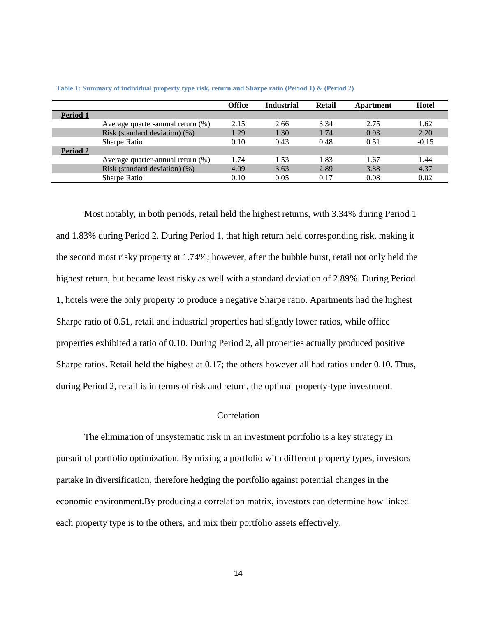|          |                                   | Office | <b>Industrial</b> | Retail | Apartment | Hotel   |
|----------|-----------------------------------|--------|-------------------|--------|-----------|---------|
| Period 1 |                                   |        |                   |        |           |         |
|          | Average quarter-annual return (%) | 2.15   | 2.66              | 3.34   | 2.75      | 1.62    |
|          | Risk (standard deviation) (%)     | 1.29   | 1.30              | 1.74   | 0.93      | 2.20    |
|          | Sharpe Ratio                      | 0.10   | 0.43              | 0.48   | 0.51      | $-0.15$ |
| Period 2 |                                   |        |                   |        |           |         |
|          | Average quarter-annual return (%) | 1.74   | 1.53              | 1.83   | 1.67      | 1.44    |
|          | Risk (standard deviation) (%)     | 4.09   | 3.63              | 2.89   | 3.88      | 4.37    |
|          | <b>Sharpe Ratio</b>               | 0.10   | 0.05              | 0.17   | 0.08      | 0.02    |

**Table 1: Summary of individual property type risk, return and Sharpe ratio (Period 1) & (Period 2)**

Most notably, in both periods, retail held the highest returns, with 3.34% during Period 1 and 1.83% during Period 2. During Period 1, that high return held corresponding risk, making it the second most risky property at 1.74%; however, after the bubble burst, retail not only held the highest return, but became least risky as well with a standard deviation of 2.89%. During Period 1, hotels were the only property to produce a negative Sharpe ratio. Apartments had the highest Sharpe ratio of 0.51, retail and industrial properties had slightly lower ratios, while office properties exhibited a ratio of 0.10. During Period 2, all properties actually produced positive Sharpe ratios. Retail held the highest at 0.17; the others however all had ratios under 0.10. Thus, during Period 2, retail is in terms of risk and return, the optimal property-type investment.

#### Correlation

The elimination of unsystematic risk in an investment portfolio is a key strategy in pursuit of portfolio optimization. By mixing a portfolio with different property types, investors partake in diversification, therefore hedging the portfolio against potential changes in the economic environment.By producing a correlation matrix, investors can determine how linked each property type is to the others, and mix their portfolio assets effectively.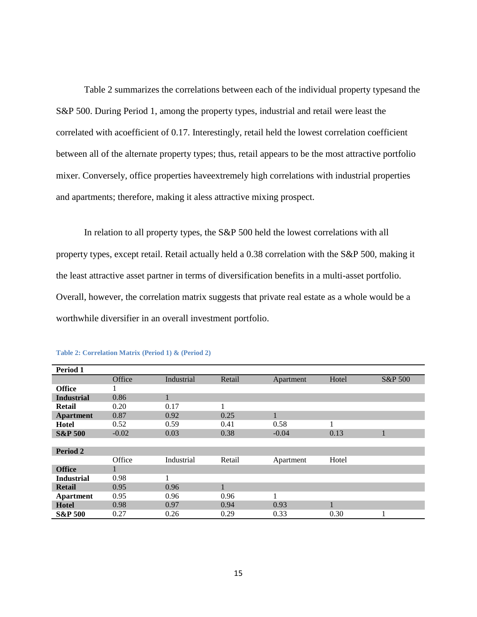Table 2 summarizes the correlations between each of the individual property typesand the S&P 500. During Period 1, among the property types, industrial and retail were least the correlated with acoefficient of 0.17. Interestingly, retail held the lowest correlation coefficient between all of the alternate property types; thus, retail appears to be the most attractive portfolio mixer. Conversely, office properties haveextremely high correlations with industrial properties and apartments; therefore, making it aless attractive mixing prospect.

In relation to all property types, the S&P 500 held the lowest correlations with all property types, except retail. Retail actually held a 0.38 correlation with the S&P 500, making it the least attractive asset partner in terms of diversification benefits in a multi-asset portfolio. Overall, however, the correlation matrix suggests that private real estate as a whole would be a worthwhile diversifier in an overall investment portfolio.

| Period 1           |         |            |        |           |       |         |
|--------------------|---------|------------|--------|-----------|-------|---------|
|                    | Office  | Industrial | Retail | Apartment | Hotel | S&P 500 |
| <b>Office</b>      |         |            |        |           |       |         |
| <b>Industrial</b>  | 0.86    |            |        |           |       |         |
| Retail             | 0.20    | 0.17       | 1      |           |       |         |
| <b>Apartment</b>   | 0.87    | 0.92       | 0.25   |           |       |         |
| Hotel              | 0.52    | 0.59       | 0.41   | 0.58      |       |         |
| <b>S&amp;P 500</b> | $-0.02$ | 0.03       | 0.38   | $-0.04$   | 0.13  |         |
|                    |         |            |        |           |       |         |
| Period 2           |         |            |        |           |       |         |
|                    | Office  | Industrial | Retail | Apartment | Hotel |         |
| <b>Office</b>      |         |            |        |           |       |         |
| <b>Industrial</b>  | 0.98    |            |        |           |       |         |
| <b>Retail</b>      | 0.95    | 0.96       | 1      |           |       |         |
| <b>Apartment</b>   | 0.95    | 0.96       | 0.96   |           |       |         |
| <b>Hotel</b>       | 0.98    | 0.97       | 0.94   | 0.93      |       |         |
| <b>S&amp;P 500</b> | 0.27    | 0.26       | 0.29   | 0.33      | 0.30  |         |

**Table 2: Correlation Matrix (Period 1) & (Period 2)**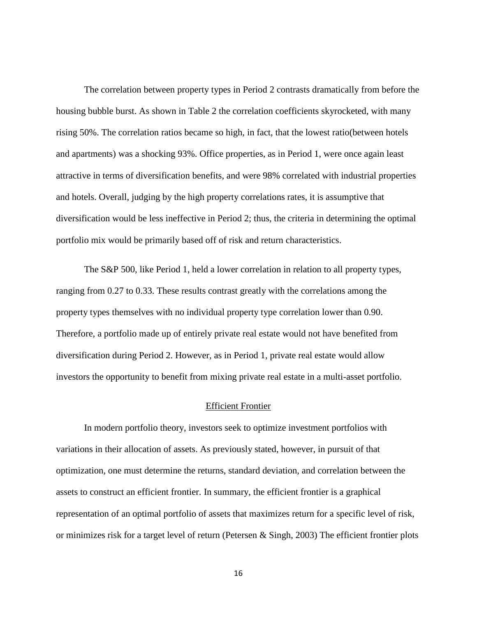The correlation between property types in Period 2 contrasts dramatically from before the housing bubble burst. As shown in Table 2 the correlation coefficients skyrocketed, with many rising 50%. The correlation ratios became so high, in fact, that the lowest ratio(between hotels and apartments) was a shocking 93%. Office properties, as in Period 1, were once again least attractive in terms of diversification benefits, and were 98% correlated with industrial properties and hotels. Overall, judging by the high property correlations rates, it is assumptive that diversification would be less ineffective in Period 2; thus, the criteria in determining the optimal portfolio mix would be primarily based off of risk and return characteristics.

The S&P 500, like Period 1, held a lower correlation in relation to all property types, ranging from 0.27 to 0.33. These results contrast greatly with the correlations among the property types themselves with no individual property type correlation lower than 0.90. Therefore, a portfolio made up of entirely private real estate would not have benefited from diversification during Period 2. However, as in Period 1, private real estate would allow investors the opportunity to benefit from mixing private real estate in a multi-asset portfolio.

#### Efficient Frontier

In modern portfolio theory, investors seek to optimize investment portfolios with variations in their allocation of assets. As previously stated, however, in pursuit of that optimization, one must determine the returns, standard deviation, and correlation between the assets to construct an efficient frontier. In summary, the efficient frontier is a graphical representation of an optimal portfolio of assets that maximizes return for a specific level of risk, or minimizes risk for a target level of return (Petersen & Singh, 2003) The efficient frontier plots

16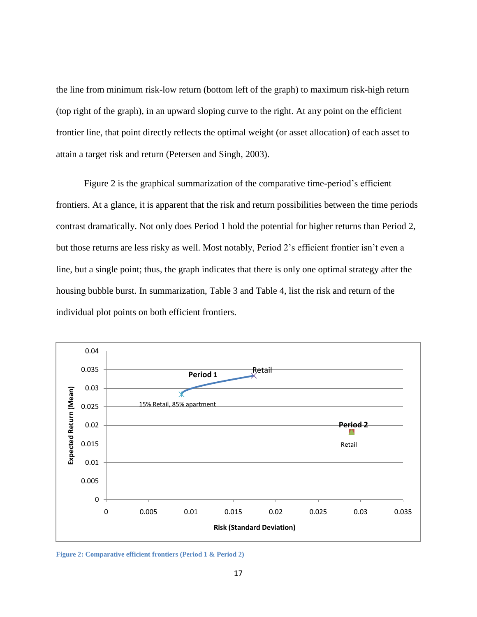the line from minimum risk-low return (bottom left of the graph) to maximum risk-high return (top right of the graph), in an upward sloping curve to the right. At any point on the efficient frontier line, that point directly reflects the optimal weight (or asset allocation) of each asset to attain a target risk and return (Petersen and Singh, 2003).

Figure 2 is the graphical summarization of the comparative time-period's efficient frontiers. At a glance, it is apparent that the risk and return possibilities between the time periods contrast dramatically. Not only does Period 1 hold the potential for higher returns than Period 2, but those returns are less risky as well. Most notably, Period 2's efficient frontier isn't even a line, but a single point; thus, the graph indicates that there is only one optimal strategy after the housing bubble burst. In summarization, Table 3 and Table 4, list the risk and return of the individual plot points on both efficient frontiers.



**Figure 2: Comparative efficient frontiers (Period 1 & Period 2)**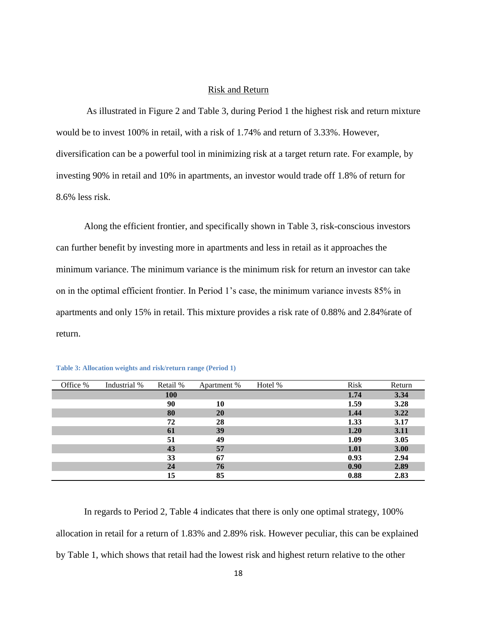#### Risk and Return

As illustrated in Figure 2 and Table 3, during Period 1 the highest risk and return mixture would be to invest 100% in retail, with a risk of 1.74% and return of 3.33%. However, diversification can be a powerful tool in minimizing risk at a target return rate. For example, by investing 90% in retail and 10% in apartments, an investor would trade off 1.8% of return for 8.6% less risk.

Along the efficient frontier, and specifically shown in Table 3, risk-conscious investors can further benefit by investing more in apartments and less in retail as it approaches the minimum variance. The minimum variance is the minimum risk for return an investor can take on in the optimal efficient frontier. In Period 1's case, the minimum variance invests 85% in apartments and only 15% in retail. This mixture provides a risk rate of 0.88% and 2.84%rate of return.

| Office % | Industrial % | Retail %   | Apartment % | Hotel % | Risk | Return |
|----------|--------------|------------|-------------|---------|------|--------|
|          |              | <b>100</b> |             |         | 1.74 | 3.34   |
|          |              | 90         | 10          |         | 1.59 | 3.28   |
|          |              | 80         | 20          |         | 1.44 | 3.22   |
|          |              | 72         | 28          |         | 1.33 | 3.17   |
|          |              | 61         | 39          |         | 1.20 | 3.11   |
|          |              | 51         | 49          |         | 1.09 | 3.05   |
|          |              | 43         | 57          |         | 1.01 | 3.00   |
|          |              | 33         | 67          |         | 0.93 | 2.94   |
|          |              | 24         | 76          |         | 0.90 | 2.89   |
|          |              | 15         | 85          |         | 0.88 | 2.83   |

| Table 3: Allocation weights and risk/return range (Period 1) |  |  |  |
|--------------------------------------------------------------|--|--|--|
|                                                              |  |  |  |

In regards to Period 2, Table 4 indicates that there is only one optimal strategy, 100% allocation in retail for a return of 1.83% and 2.89% risk. However peculiar, this can be explained by Table 1, which shows that retail had the lowest risk and highest return relative to the other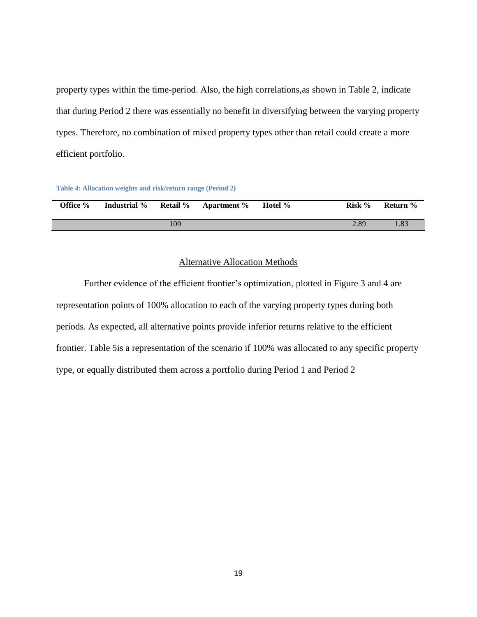property types within the time-period. Also, the high correlations,as shown in Table 2, indicate that during Period 2 there was essentially no benefit in diversifying between the varying property types. Therefore, no combination of mixed property types other than retail could create a more efficient portfolio.

| Table 4: Allocation weights and risk/return range (Period 2) |  |  |
|--------------------------------------------------------------|--|--|
|                                                              |  |  |

|                    | Office % | Industrial % | <b>Retail</b> % | <b>Apartment</b> % | Hotel % | Risk % | Return % |
|--------------------|----------|--------------|-----------------|--------------------|---------|--------|----------|
| 00<br>2.89<br>l.83 |          |              |                 |                    |         |        |          |

#### Alternative Allocation Methods

Further evidence of the efficient frontier's optimization, plotted in Figure 3 and 4 are representation points of 100% allocation to each of the varying property types during both periods. As expected, all alternative points provide inferior returns relative to the efficient frontier. Table 5is a representation of the scenario if 100% was allocated to any specific property type, or equally distributed them across a portfolio during Period 1 and Period 2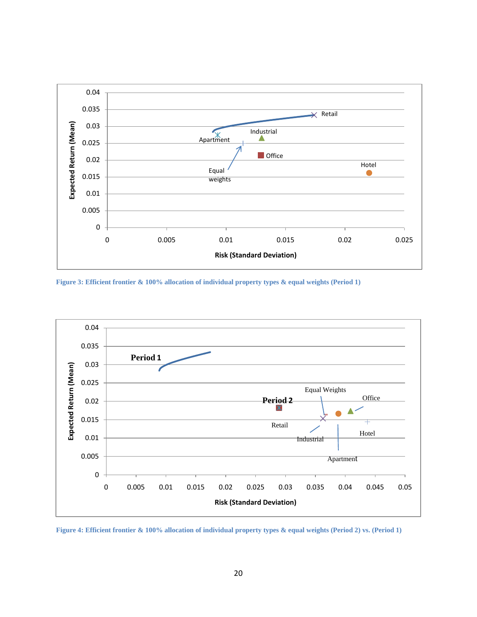

**Figure 3: Efficient frontier & 100% allocation of individual property types & equal weights (Period 1)**



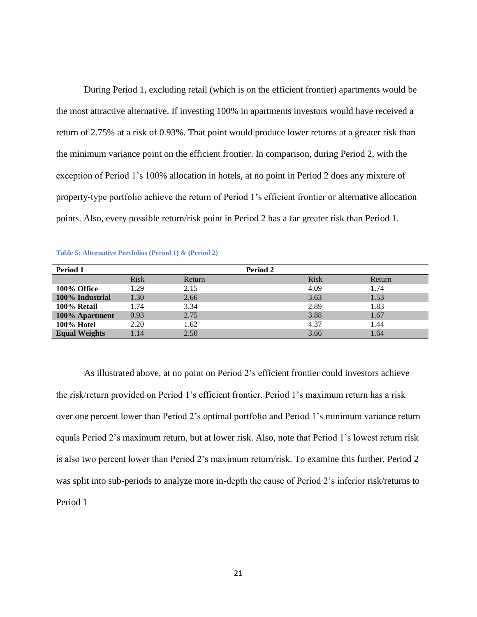During Period 1, excluding retail (which is on the efficient frontier) apartments would be the most attractive alternative. If investing 100% in apartments investors would have received a return of 2.75% at a risk of 0.93%. That point would produce lower returns at a greater risk than the minimum variance point on the efficient frontier. In comparison, during Period 2, with the exception of Period 1's 100% allocation in hotels, at no point in Period 2 does any mixture of property-type portfolio achieve the return of Period 1's efficient frontier or alternative allocation points. Also, every possible return/risk point in Period 2 has a far greater risk than Period 1.

| Period 1             |             |        | Period 2 |        |
|----------------------|-------------|--------|----------|--------|
|                      | <b>Risk</b> | Return | Risk     | Return |
| 100% Office          | 1.29        | 2.15   | 4.09     | 1.74   |
| 100% Industrial      | 1.30        | 2.66   | 3.63     | 1.53   |
| 100% Retail          | 1.74        | 3.34   | 2.89     | 1.83   |
| 100% Apartment       | 0.93        | 2.75   | 3.88     | 1.67   |
| 100% Hotel           | 2.20        | 1.62   | 4.37     | 1.44   |
| <b>Equal Weights</b> | 1.14        | 2.50   | 3.66     | 1.64   |

**Table 5: Alternative Portfolios (Period 1) & (Period 2)**

As illustrated above, at no point on Period 2's efficient frontier could investors achieve the risk/return provided on Period 1's efficient frontier. Period 1's maximum return has a risk over one percent lower than Period 2's optimal portfolio and Period 1's minimum variance return equals Period 2's maximum return, but at lower risk. Also, note that Period 1's lowest return risk is also two percent lower than Period 2's maximum return/risk. To examine this further, Period 2 was split into sub-periods to analyze more in-depth the cause of Period 2's inferior risk/returns to Period 1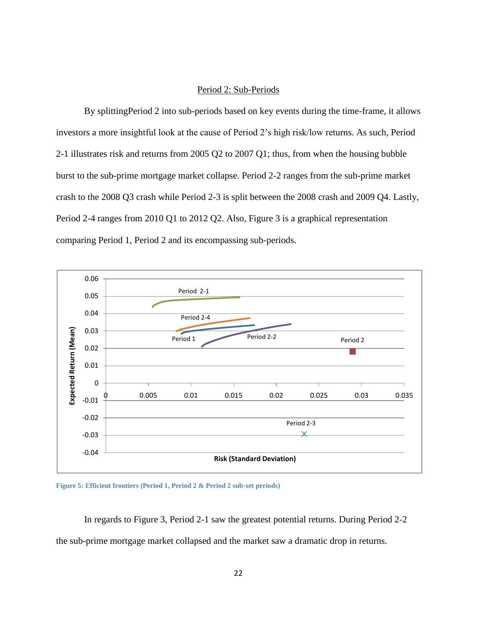#### Period 2: Sub-Periods

By splittingPeriod 2 into sub-periods based on key events during the time-frame, it allows investors a more insightful look at the cause of Period 2's high risk/low returns. As such, Period 2-1 illustrates risk and returns from 2005 Q2 to 2007 Q1; thus, from when the housing bubble burst to the sub-prime mortgage market collapse. Period 2-2 ranges from the sub-prime market crash to the 2008 Q3 crash while Period 2-3 is split between the 2008 crash and 2009 Q4. Lastly, Period 2-4 ranges from 2010 Q1 to 2012 Q2. Also, Figure 3 is a graphical representation comparing Period 1, Period 2 and its encompassing sub-periods.



**Figure 5: Efficient frontiers (Period 1, Period 2 & Period 2 sub-set periods)**

In regards to Figure 3, Period 2-1 saw the greatest potential returns. During Period 2-2 the sub-prime mortgage market collapsed and the market saw a dramatic drop in returns.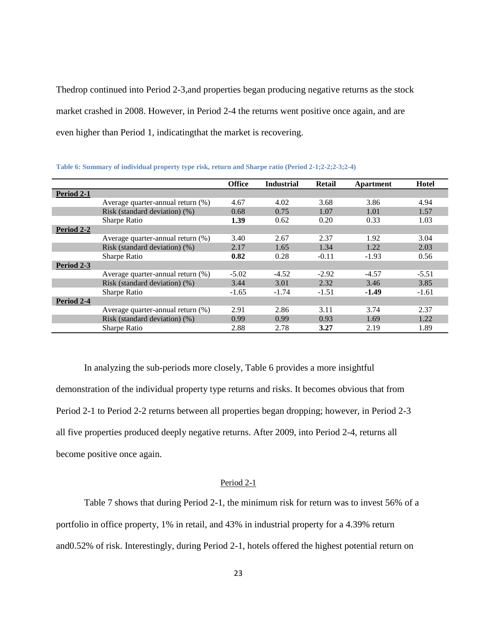Thedrop continued into Period 2-3,and properties began producing negative returns as the stock market crashed in 2008. However, in Period 2-4 the returns went positive once again, and are even higher than Period 1, indicatingthat the market is recovering.

|            |                                   | <b>Office</b> | <b>Industrial</b> | Retail  | Apartment | Hotel   |
|------------|-----------------------------------|---------------|-------------------|---------|-----------|---------|
| Period 2-1 |                                   |               |                   |         |           |         |
|            | Average quarter-annual return (%) | 4.67          | 4.02              | 3.68    | 3.86      | 4.94    |
|            | Risk (standard deviation) (%)     | 0.68          | 0.75              | 1.07    | 1.01      | 1.57    |
|            | Sharpe Ratio                      | 1.39          | 0.62              | 0.20    | 0.33      | 1.03    |
| Period 2-2 |                                   |               |                   |         |           |         |
|            | Average quarter-annual return (%) | 3.40          | 2.67              | 2.37    | 1.92      | 3.04    |
|            | Risk (standard deviation) (%)     | 2.17          | 1.65              | 1.34    | 1.22      | 2.03    |
|            | Sharpe Ratio                      | 0.82          | 0.28              | $-0.11$ | $-1.93$   | 0.56    |
| Period 2-3 |                                   |               |                   |         |           |         |
|            | Average quarter-annual return (%) | $-5.02$       | $-4.52$           | $-2.92$ | $-4.57$   | $-5.51$ |
|            | Risk (standard deviation) (%)     | 3.44          | 3.01              | 2.32    | 3.46      | 3.85    |
|            | Sharpe Ratio                      | $-1.65$       | $-1.74$           | $-1.51$ | $-1.49$   | $-1.61$ |
| Period 2-4 |                                   |               |                   |         |           |         |
|            | Average quarter-annual return (%) | 2.91          | 2.86              | 3.11    | 3.74      | 2.37    |
|            | Risk (standard deviation) (%)     | 0.99          | 0.99              | 0.93    | 1.69      | 1.22    |
|            | <b>Sharpe Ratio</b>               | 2.88          | 2.78              | 3.27    | 2.19      | 1.89    |

**Table 6: Summary of individual property type risk, return and Sharpe ratio (Period 2-1;2-2;2-3;2-4)**

In analyzing the sub-periods more closely, Table 6 provides a more insightful demonstration of the individual property type returns and risks. It becomes obvious that from Period 2-1 to Period 2-2 returns between all properties began dropping; however, in Period 2-3 all five properties produced deeply negative returns. After 2009, into Period 2-4, returns all become positive once again.

#### Period 2-1

Table 7 shows that during Period 2-1, the minimum risk for return was to invest 56% of a portfolio in office property, 1% in retail, and 43% in industrial property for a 4.39% return and0.52% of risk. Interestingly, during Period 2-1, hotels offered the highest potential return on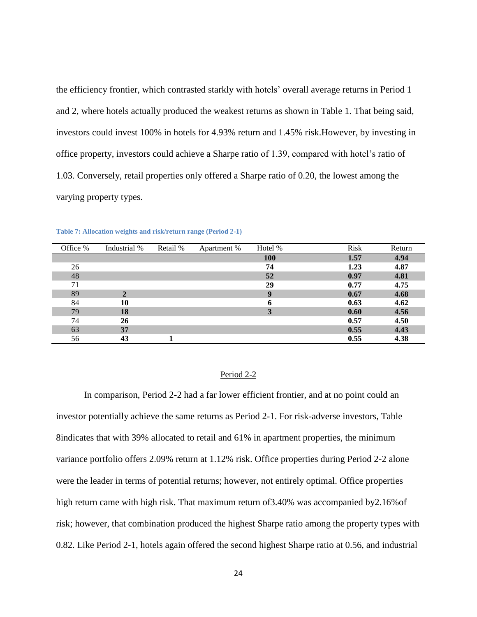the efficiency frontier, which contrasted starkly with hotels' overall average returns in Period 1 and 2, where hotels actually produced the weakest returns as shown in Table 1. That being said, investors could invest 100% in hotels for 4.93% return and 1.45% risk.However, by investing in office property, investors could achieve a Sharpe ratio of 1.39, compared with hotel's ratio of 1.03. Conversely, retail properties only offered a Sharpe ratio of 0.20, the lowest among the varying property types.

| Office % | Industrial % | Retail % | Apartment % | Hotel %    | <b>Risk</b> | Return |
|----------|--------------|----------|-------------|------------|-------------|--------|
|          |              |          |             | <b>100</b> | 1.57        | 4.94   |
| 26       |              |          |             | 74         | 1.23        | 4.87   |
| 48       |              |          |             | 52         | 0.97        | 4.81   |
| 71       |              |          |             | 29         | 0.77        | 4.75   |
| 89       | $\mathbf{2}$ |          |             | 9          | 0.67        | 4.68   |
| 84       | 10           |          |             | 6          | 0.63        | 4.62   |
| 79       | 18           |          |             | 3          | 0.60        | 4.56   |
| 74       | 26           |          |             |            | 0.57        | 4.50   |
| 63       | 37           |          |             |            | 0.55        | 4.43   |
| 56       | 43           |          |             |            | 0.55        | 4.38   |

**Table 7: Allocation weights and risk/return range (Period 2-1)**

#### Period 2-2

In comparison, Period 2-2 had a far lower efficient frontier, and at no point could an investor potentially achieve the same returns as Period 2-1. For risk-adverse investors, Table 8indicates that with 39% allocated to retail and 61% in apartment properties, the minimum variance portfolio offers 2.09% return at 1.12% risk. Office properties during Period 2-2 alone were the leader in terms of potential returns; however, not entirely optimal. Office properties high return came with high risk. That maximum return of 3.40% was accompanied by 2.16% of risk; however, that combination produced the highest Sharpe ratio among the property types with 0.82. Like Period 2-1, hotels again offered the second highest Sharpe ratio at 0.56, and industrial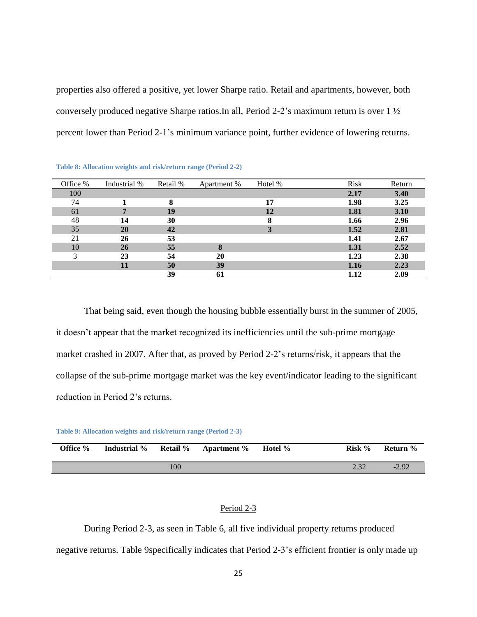properties also offered a positive, yet lower Sharpe ratio. Retail and apartments, however, both conversely produced negative Sharpe ratios.In all, Period 2-2's maximum return is over 1 ½ percent lower than Period 2-1's minimum variance point, further evidence of lowering returns.

| Office % | Industrial % | Retail % | Apartment % | Hotel % | <b>Risk</b> | Return |
|----------|--------------|----------|-------------|---------|-------------|--------|
| 100      |              |          |             |         | 2.17        | 3.40   |
| 74       |              | 8        |             | 17      | 1.98        | 3.25   |
| 61       | 7            | 19       |             | 12      | 1.81        | 3.10   |
| 48       | 14           | 30       |             | 8       | 1.66        | 2.96   |
| 35       | 20           | 42       |             | 3       | 1.52        | 2.81   |
| 21       | 26           | 53       |             |         | 1.41        | 2.67   |
| 10       | 26           | 55       | 8           |         | 1.31        | 2.52   |
| 3        | 23           | 54       | 20          |         | 1.23        | 2.38   |
|          | 11           | 50       | 39          |         | 1.16        | 2.23   |
|          |              | 39       | 61          |         | 1.12        | 2.09   |

**Table 8: Allocation weights and risk/return range (Period 2-2)**

That being said, even though the housing bubble essentially burst in the summer of 2005, it doesn't appear that the market recognized its inefficiencies until the sub-prime mortgage market crashed in 2007. After that, as proved by Period 2-2's returns/risk, it appears that the collapse of the sub-prime mortgage market was the key event/indicator leading to the significant reduction in Period 2's returns.

**Table 9: Allocation weights and risk/return range (Period 2-3)**

| Office % | <b>Industrial</b> % |     | <b>Retail %</b> Apartment % | Hotel % | Risk % | Return % |
|----------|---------------------|-----|-----------------------------|---------|--------|----------|
|          |                     | 100 |                             |         | 22     | $-2.92$  |

#### Period 2-3

During Period 2-3, as seen in Table 6, all five individual property returns produced negative returns. Table 9specifically indicates that Period 2-3's efficient frontier is only made up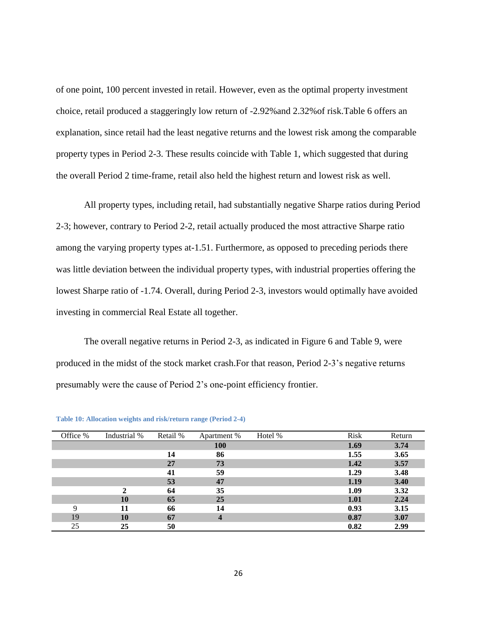of one point, 100 percent invested in retail. However, even as the optimal property investment choice, retail produced a staggeringly low return of -2.92%and 2.32%of risk.Table 6 offers an explanation, since retail had the least negative returns and the lowest risk among the comparable property types in Period 2-3. These results coincide with Table 1, which suggested that during the overall Period 2 time-frame, retail also held the highest return and lowest risk as well.

All property types, including retail, had substantially negative Sharpe ratios during Period 2-3; however, contrary to Period 2-2, retail actually produced the most attractive Sharpe ratio among the varying property types at-1.51. Furthermore, as opposed to preceding periods there was little deviation between the individual property types, with industrial properties offering the lowest Sharpe ratio of -1.74. Overall, during Period 2-3, investors would optimally have avoided investing in commercial Real Estate all together.

The overall negative returns in Period 2-3, as indicated in Figure 6 and Table 9, were produced in the midst of the stock market crash.For that reason, Period 2-3's negative returns presumably were the cause of Period 2's one-point efficiency frontier.

| Office % | Industrial % | Retail % | Apartment %        | Hotel % | <b>Risk</b> | Return |
|----------|--------------|----------|--------------------|---------|-------------|--------|
|          |              |          | <b>100</b>         |         | 1.69        | 3.74   |
|          |              | 14       | 86                 |         | 1.55        | 3.65   |
|          |              | 27       | 73                 |         | 1.42        | 3.57   |
|          |              | 41       | 59                 |         | 1.29        | 3.48   |
|          |              | 53       | 47                 |         | 1.19        | 3.40   |
|          | ∍            | 64       | 35                 |         | 1.09        | 3.32   |
|          | 10           | 65       | 25                 |         | 1.01        | 2.24   |
| 9        | 11           | 66       | 14                 |         | 0.93        | 3.15   |
| 19       | 10           | 67       | $\overline{\bf 4}$ |         | 0.87        | 3.07   |
| 25       | 25           | 50       |                    |         | 0.82        | 2.99   |

**Table 10: Allocation weights and risk/return range (Period 2-4)**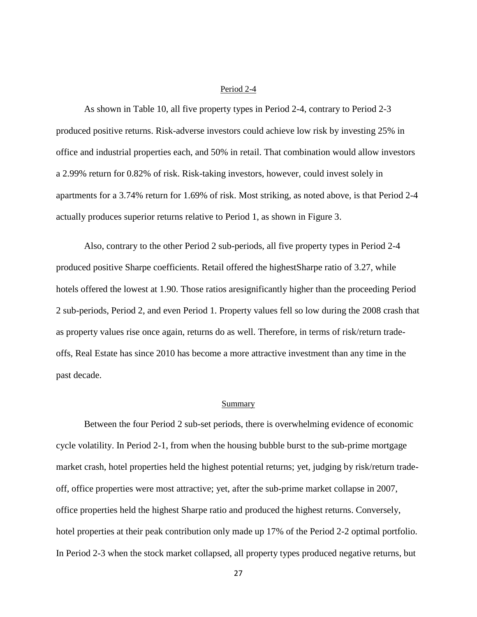#### Period 2-4

As shown in Table 10, all five property types in Period 2-4, contrary to Period 2-3 produced positive returns. Risk-adverse investors could achieve low risk by investing 25% in office and industrial properties each, and 50% in retail. That combination would allow investors a 2.99% return for 0.82% of risk. Risk-taking investors, however, could invest solely in apartments for a 3.74% return for 1.69% of risk. Most striking, as noted above, is that Period 2-4 actually produces superior returns relative to Period 1, as shown in Figure 3.

Also, contrary to the other Period 2 sub-periods, all five property types in Period 2-4 produced positive Sharpe coefficients. Retail offered the highestSharpe ratio of 3.27, while hotels offered the lowest at 1.90. Those ratios aresignificantly higher than the proceeding Period 2 sub-periods, Period 2, and even Period 1. Property values fell so low during the 2008 crash that as property values rise once again, returns do as well. Therefore, in terms of risk/return tradeoffs, Real Estate has since 2010 has become a more attractive investment than any time in the past decade.

#### Summary

Between the four Period 2 sub-set periods, there is overwhelming evidence of economic cycle volatility. In Period 2-1, from when the housing bubble burst to the sub-prime mortgage market crash, hotel properties held the highest potential returns; yet, judging by risk/return tradeoff, office properties were most attractive; yet, after the sub-prime market collapse in 2007, office properties held the highest Sharpe ratio and produced the highest returns. Conversely, hotel properties at their peak contribution only made up 17% of the Period 2-2 optimal portfolio. In Period 2-3 when the stock market collapsed, all property types produced negative returns, but

27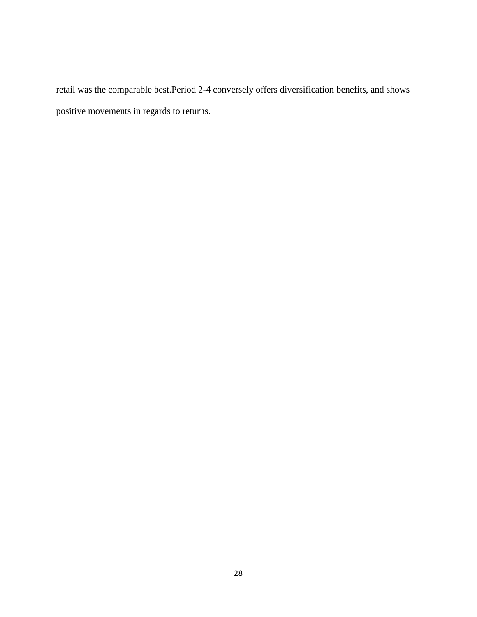retail was the comparable best.Period 2-4 conversely offers diversification benefits, and shows positive movements in regards to returns.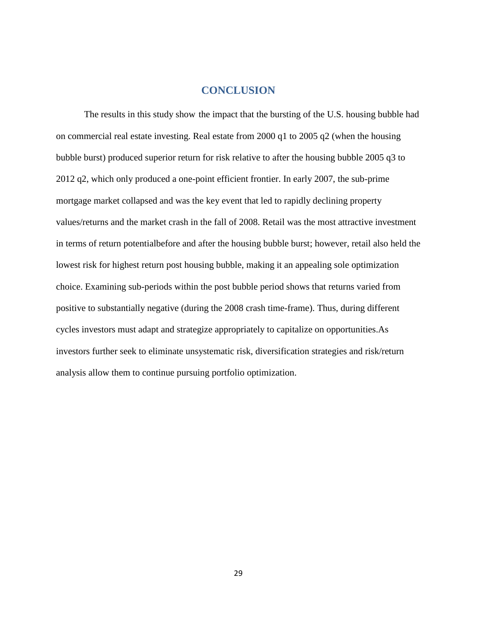# **CONCLUSION**

 The results in this study show the impact that the bursting of the U.S. housing bubble had on commercial real estate investing. Real estate from 2000 q1 to 2005 q2 (when the housing bubble burst) produced superior return for risk relative to after the housing bubble 2005 q3 to 2012 q2, which only produced a one-point efficient frontier. In early 2007, the sub-prime mortgage market collapsed and was the key event that led to rapidly declining property values/returns and the market crash in the fall of 2008. Retail was the most attractive investment in terms of return potentialbefore and after the housing bubble burst; however, retail also held the lowest risk for highest return post housing bubble, making it an appealing sole optimization choice. Examining sub-periods within the post bubble period shows that returns varied from positive to substantially negative (during the 2008 crash time-frame). Thus, during different cycles investors must adapt and strategize appropriately to capitalize on opportunities.As investors further seek to eliminate unsystematic risk, diversification strategies and risk/return analysis allow them to continue pursuing portfolio optimization.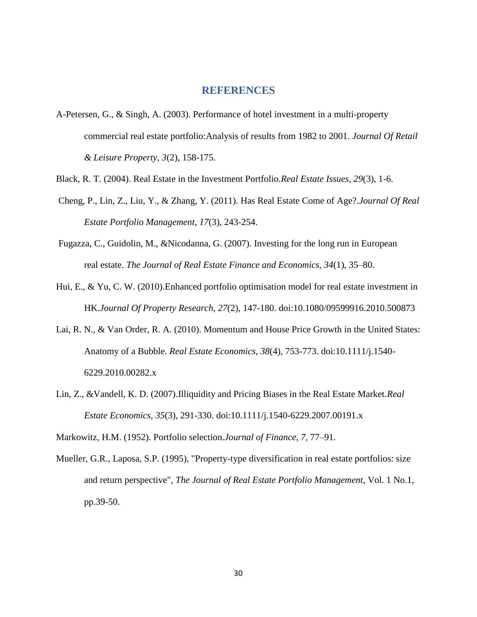#### **REFERENCES**

- A-Petersen, G., & Singh, A. (2003). Performance of hotel investment in a multi-property commercial real estate portfolio:Analysis of results from 1982 to 2001. *Journal Of Retail & Leisure Property*, *3*(2), 158-175.
- Black, R. T. (2004). Real Estate in the Investment Portfolio.*Real Estate Issues*, *29*(3), 1-6.
- Cheng, P., Lin, Z., Liu, Y., & Zhang, Y. (2011). Has Real Estate Come of Age?.*Journal Of Real Estate Portfolio Management*, *17*(3), 243-254.
- Fugazza, C., Guidolin, M., &Nicodanna, G. (2007). Investing for the long run in European real estate. *The Journal of Real Estate Finance and Economics, 34*(1), 35–80.
- Hui, E., & Yu, C. W. (2010).Enhanced portfolio optimisation model for real estate investment in HK.*Journal Of Property Research*, *27*(2), 147-180. doi:10.1080/09599916.2010.500873
- Lai, R. N., & Van Order, R. A. (2010). Momentum and House Price Growth in the United States: Anatomy of a Bubble. *Real Estate Economics*, *38*(4), 753-773. doi:10.1111/j.1540- 6229.2010.00282.x
- Lin, Z., &Vandell, K. D. (2007).Illiquidity and Pricing Biases in the Real Estate Market.*Real Estate Economics*, *35*(3), 291-330. doi:10.1111/j.1540-6229.2007.00191.x

Markowitz, H.M. (1952). Portfolio selection.*Journal of Finance, 7,* 77–91.

Mueller, G.R., Laposa, S.P. (1995), "Property-type diversification in real estate portfolios: size and return perspective", *The Journal of Real Estate Portfolio Management*, Vol. 1 No.1, pp.39-50.